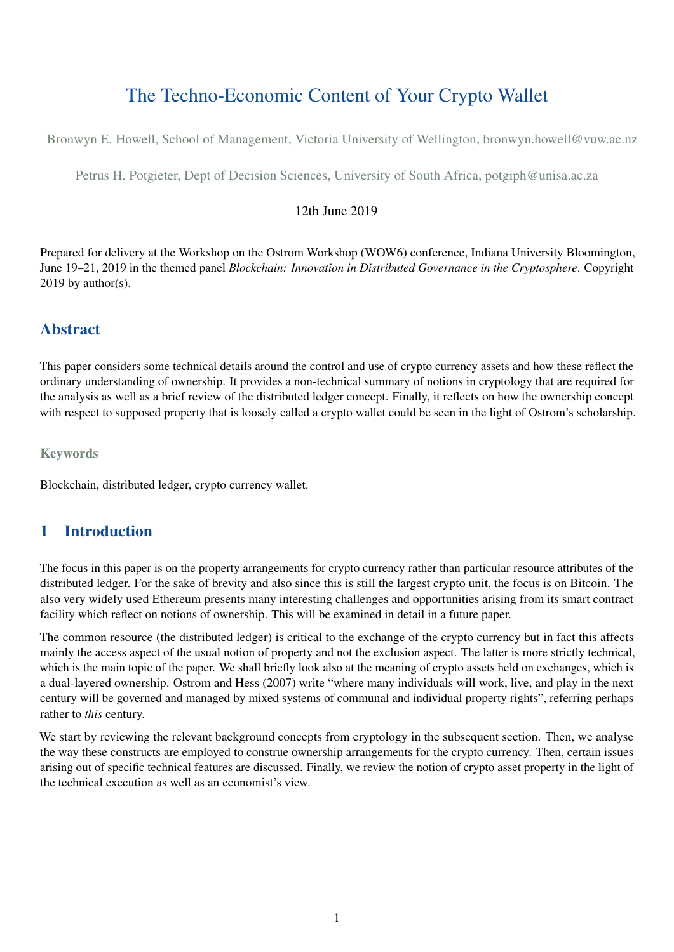# The Techno-Economic Content of Your Crypto Wallet

Bronwyn E. Howell, School of Management, Victoria University of Wellington, bronwyn.howell@vuw.ac.nz

Petrus H. Potgieter, Dept of Decision Sciences, University of South Africa, potgiph@unisa.ac.za

#### 12th June 2019

Prepared for delivery at the Workshop on the Ostrom Workshop (WOW6) conference, Indiana University Bloomington, June 19–21, 2019 in the themed panel *Blockchain: Innovation in Distributed Governance in the Cryptosphere*. Copyright  $2019$  by author(s).

### Abstract

This paper considers some technical details around the control and use of crypto currency assets and how these reflect the ordinary understanding of ownership. It provides a non-technical summary of notions in cryptology that are required for the analysis as well as a brief review of the distributed ledger concept. Finally, it reflects on how the ownership concept with respect to supposed property that is loosely called a crypto wallet could be seen in the light of Ostrom's scholarship.

**Keywords** 

Blockchain, distributed ledger, crypto currency wallet.

### 1 Introduction

The focus in this paper is on the property arrangements for crypto currency rather than particular resource attributes of the distributed ledger. For the sake of brevity and also since this is still the largest crypto unit, the focus is on Bitcoin. The also very widely used Ethereum presents many interesting challenges and opportunities arising from its smart contract facility which reflect on notions of ownership. This will be examined in detail in a future paper.

The common resource (the distributed ledger) is critical to the exchange of the crypto currency but in fact this affects mainly the access aspect of the usual notion of property and not the exclusion aspect. The latter is more strictly technical, which is the main topic of the paper. We shall briefly look also at the meaning of crypto assets held on exchanges, which is a dual-layered ownership. Ostrom and Hess (2007) write "where many individuals will work, live, and play in the next century will be governed and managed by mixed systems of communal and individual property rights", referring perhaps rather to *this* century.

We start by reviewing the relevant background concepts from cryptology in the subsequent section. Then, we analyse the way these constructs are employed to construe ownership arrangements for the crypto currency. Then, certain issues arising out of specific technical features are discussed. Finally, we review the notion of crypto asset property in the light of the technical execution as well as an economist's view.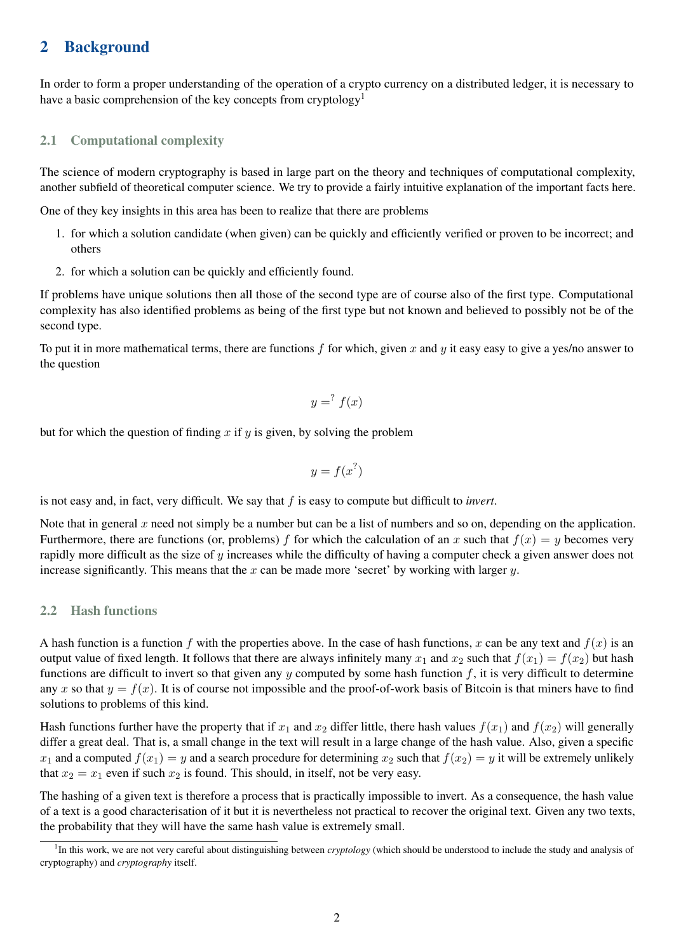### 2 Background

In order to form a proper understanding of the operation of a crypto currency on a distributed ledger, it is necessary to have a basic comprehension of the key concepts from cryptology<sup>[1](#page-1-0)</sup>

#### 2.1 Computational complexity

The science of modern cryptography is based in large part on the theory and techniques of computational complexity, another subfield of theoretical computer science. We try to provide a fairly intuitive explanation of the important facts here.

One of they key insights in this area has been to realize that there are problems

- 1. for which a solution candidate (when given) can be quickly and efficiently verified or proven to be incorrect; and others
- 2. for which a solution can be quickly and efficiently found.

If problems have unique solutions then all those of the second type are of course also of the first type. Computational complexity has also identified problems as being of the first type but not known and believed to possibly not be of the second type.

To put it in more mathematical terms, there are functions *f* for which, given *x* and *y* it easy easy to give a yes/no answer to the question

$$
y = f(x)
$$

but for which the question of finding *x* if *y* is given, by solving the problem

$$
y = f(x^?)
$$

is not easy and, in fact, very difficult. We say that *f* is easy to compute but difficult to *invert*.

Note that in general  $x$  need not simply be a number but can be a list of numbers and so on, depending on the application. Furthermore, there are functions (or, problems) *f* for which the calculation of an *x* such that  $f(x) = y$  becomes very rapidly more difficult as the size of *y* increases while the difficulty of having a computer check a given answer does not increase significantly. This means that the *x* can be made more 'secret' by working with larger *y*.

#### 2.2 Hash functions

A hash function is a function f with the properties above. In the case of hash functions, x can be any text and  $f(x)$  is an output value of fixed length. It follows that there are always infinitely many  $x_1$  and  $x_2$  such that  $f(x_1) = f(x_2)$  but hash functions are difficult to invert so that given any *y* computed by some hash function *f*, it is very difficult to determine any *x* so that  $y = f(x)$ . It is of course not impossible and the proof-of-work basis of Bitcoin is that miners have to find solutions to problems of this kind.

Hash functions further have the property that if  $x_1$  and  $x_2$  differ little, there hash values  $f(x_1)$  and  $f(x_2)$  will generally differ a great deal. That is, a small change in the text will result in a large change of the hash value. Also, given a specific  $x_1$  and a computed  $f(x_1) = y$  and a search procedure for determining  $x_2$  such that  $f(x_2) = y$  it will be extremely unlikely that  $x_2 = x_1$  even if such  $x_2$  is found. This should, in itself, not be very easy.

The hashing of a given text is therefore a process that is practically impossible to invert. As a consequence, the hash value of a text is a good characterisation of it but it is nevertheless not practical to recover the original text. Given any two texts, the probability that they will have the same hash value is extremely small.

<span id="page-1-0"></span><sup>&</sup>lt;sup>1</sup>In this work, we are not very careful about distinguishing between *cryptology* (which should be understood to include the study and analysis of cryptography) and *cryptography* itself.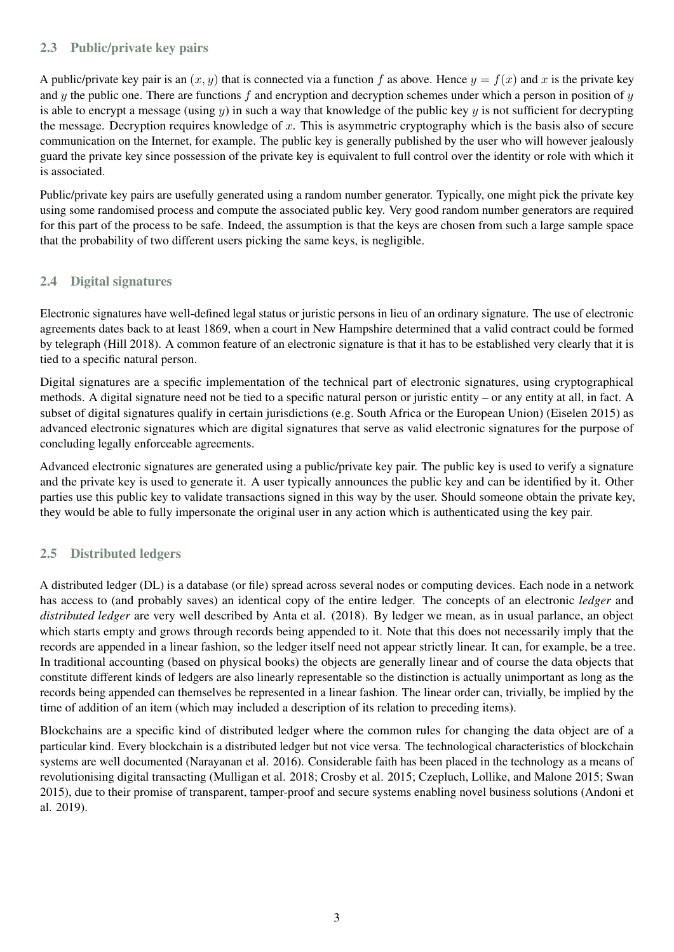#### 2.3 Public/private key pairs

A public/private key pair is an  $(x, y)$  that is connected via a function f as above. Hence  $y = f(x)$  and x is the private key and *y* the public one. There are functions *f* and encryption and decryption schemes under which a person in position of *y* is able to encrypt a message (using  $\psi$ ) in such a way that knowledge of the public key  $\psi$  is not sufficient for decrypting the message. Decryption requires knowledge of *x*. This is asymmetric cryptography which is the basis also of secure communication on the Internet, for example. The public key is generally published by the user who will however jealously guard the private key since possession of the private key is equivalent to full control over the identity or role with which it is associated.

Public/private key pairs are usefully generated using a random number generator. Typically, one might pick the private key using some randomised process and compute the associated public key. Very good random number generators are required for this part of the process to be safe. Indeed, the assumption is that the keys are chosen from such a large sample space that the probability of two different users picking the same keys, is negligible.

#### 2.4 Digital signatures

Electronic signatures have well-defined legal status or juristic persons in lieu of an ordinary signature. The use of electronic agreements dates back to at least 1869, when a court in New Hampshire determined that a valid contract could be formed by telegraph (Hill 2018). A common feature of an electronic signature is that it has to be established very clearly that it is tied to a specific natural person.

Digital signatures are a specific implementation of the technical part of electronic signatures, using cryptographical methods. A digital signature need not be tied to a specific natural person or juristic entity – or any entity at all, in fact. A subset of digital signatures qualify in certain jurisdictions (e.g. South Africa or the European Union) (Eiselen 2015) as advanced electronic signatures which are digital signatures that serve as valid electronic signatures for the purpose of concluding legally enforceable agreements.

Advanced electronic signatures are generated using a public/private key pair. The public key is used to verify a signature and the private key is used to generate it. A user typically announces the public key and can be identified by it. Other parties use this public key to validate transactions signed in this way by the user. Should someone obtain the private key, they would be able to fully impersonate the original user in any action which is authenticated using the key pair.

#### 2.5 Distributed ledgers

A distributed ledger (DL) is a database (or file) spread across several nodes or computing devices. Each node in a network has access to (and probably saves) an identical copy of the entire ledger. The concepts of an electronic *ledger* and *distributed ledger* are very well described by Anta et al. (2018). By ledger we mean, as in usual parlance, an object which starts empty and grows through records being appended to it. Note that this does not necessarily imply that the records are appended in a linear fashion, so the ledger itself need not appear strictly linear. It can, for example, be a tree. In traditional accounting (based on physical books) the objects are generally linear and of course the data objects that constitute different kinds of ledgers are also linearly representable so the distinction is actually unimportant as long as the records being appended can themselves be represented in a linear fashion. The linear order can, trivially, be implied by the time of addition of an item (which may included a description of its relation to preceding items).

Blockchains are a specific kind of distributed ledger where the common rules for changing the data object are of a particular kind. Every blockchain is a distributed ledger but not vice versa. The technological characteristics of blockchain systems are well documented (Narayanan et al. 2016). Considerable faith has been placed in the technology as a means of revolutionising digital transacting (Mulligan et al. 2018; Crosby et al. 2015; Czepluch, Lollike, and Malone 2015; Swan 2015), due to their promise of transparent, tamper-proof and secure systems enabling novel business solutions (Andoni et al. 2019).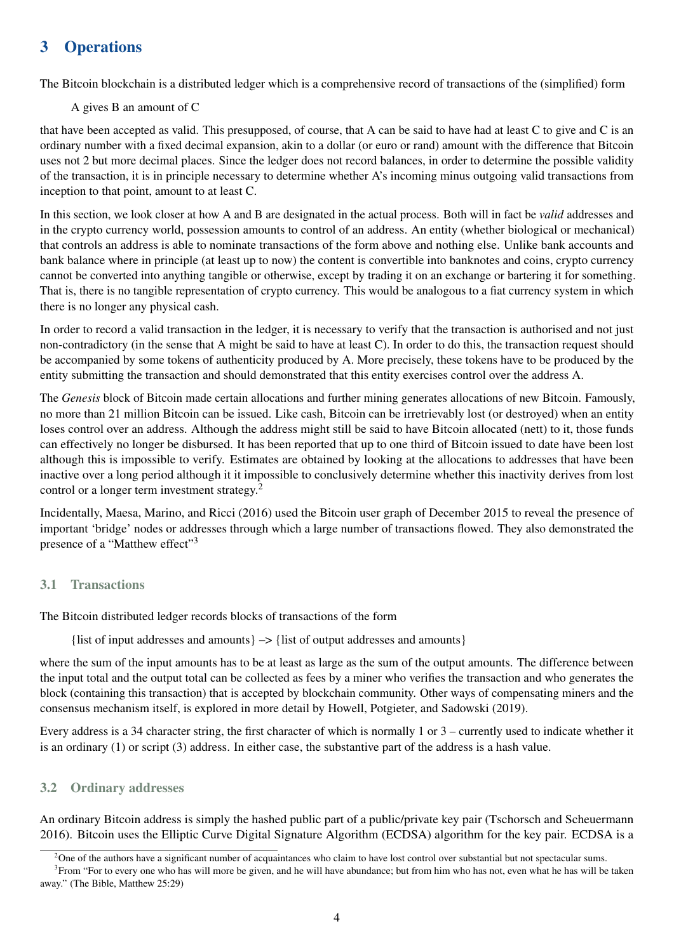## 3 Operations

The Bitcoin blockchain is a distributed ledger which is a comprehensive record of transactions of the (simplified) form

A gives B an amount of C

that have been accepted as valid. This presupposed, of course, that A can be said to have had at least C to give and C is an ordinary number with a fixed decimal expansion, akin to a dollar (or euro or rand) amount with the difference that Bitcoin uses not 2 but more decimal places. Since the ledger does not record balances, in order to determine the possible validity of the transaction, it is in principle necessary to determine whether A's incoming minus outgoing valid transactions from inception to that point, amount to at least C.

In this section, we look closer at how A and B are designated in the actual process. Both will in fact be *valid* addresses and in the crypto currency world, possession amounts to control of an address. An entity (whether biological or mechanical) that controls an address is able to nominate transactions of the form above and nothing else. Unlike bank accounts and bank balance where in principle (at least up to now) the content is convertible into banknotes and coins, crypto currency cannot be converted into anything tangible or otherwise, except by trading it on an exchange or bartering it for something. That is, there is no tangible representation of crypto currency. This would be analogous to a fiat currency system in which there is no longer any physical cash.

In order to record a valid transaction in the ledger, it is necessary to verify that the transaction is authorised and not just non-contradictory (in the sense that A might be said to have at least C). In order to do this, the transaction request should be accompanied by some tokens of authenticity produced by A. More precisely, these tokens have to be produced by the entity submitting the transaction and should demonstrated that this entity exercises control over the address A.

The *Genesis* block of Bitcoin made certain allocations and further mining generates allocations of new Bitcoin. Famously, no more than 21 million Bitcoin can be issued. Like cash, Bitcoin can be irretrievably lost (or destroyed) when an entity loses control over an address. Although the address might still be said to have Bitcoin allocated (nett) to it, those funds can effectively no longer be disbursed. It has been reported that up to one third of Bitcoin issued to date have been lost although this is impossible to verify. Estimates are obtained by looking at the allocations to addresses that have been inactive over a long period although it it impossible to conclusively determine whether this inactivity derives from lost control or a longer term investment strategy.[2](#page-3-0)

Incidentally, Maesa, Marino, and Ricci (2016) used the Bitcoin user graph of December 2015 to reveal the presence of important 'bridge' nodes or addresses through which a large number of transactions flowed. They also demonstrated the presence of a "Matthew effect"<sup>[3](#page-3-1)</sup>

### 3.1 Transactions

The Bitcoin distributed ledger records blocks of transactions of the form

{list of input addresses and amounts}  $\rightarrow$  {list of output addresses and amounts}

where the sum of the input amounts has to be at least as large as the sum of the output amounts. The difference between the input total and the output total can be collected as fees by a miner who verifies the transaction and who generates the block (containing this transaction) that is accepted by blockchain community. Other ways of compensating miners and the consensus mechanism itself, is explored in more detail by Howell, Potgieter, and Sadowski (2019).

Every address is a 34 character string, the first character of which is normally 1 or 3 – currently used to indicate whether it is an ordinary (1) or script (3) address. In either case, the substantive part of the address is a hash value.

### 3.2 Ordinary addresses

An ordinary Bitcoin address is simply the hashed public part of a public/private key pair (Tschorsch and Scheuermann 2016). Bitcoin uses the Elliptic Curve Digital Signature Algorithm (ECDSA) algorithm for the key pair. ECDSA is a

<span id="page-3-1"></span><span id="page-3-0"></span><sup>&</sup>lt;sup>2</sup>One of the authors have a significant number of acquaintances who claim to have lost control over substantial but not spectacular sums.

<sup>&</sup>lt;sup>3</sup> From "For to every one who has will more be given, and he will have abundance; but from him who has not, even what he has will be taken away." (The Bible, Matthew 25:29)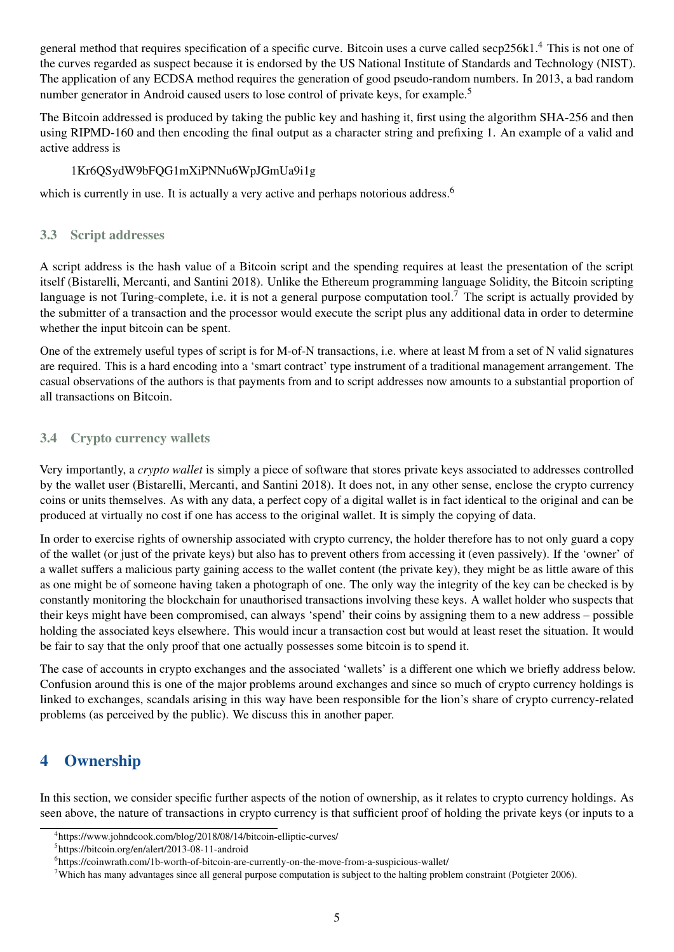general method that requires specification of a specific curve. Bitcoin uses a curve called secp256k1.[4](#page-4-0) This is not one of the curves regarded as suspect because it is endorsed by the US National Institute of Standards and Technology (NIST). The application of any ECDSA method requires the generation of good pseudo-random numbers. In 2013, a bad random number generator in Android caused users to lose control of private keys, for example.<sup>[5](#page-4-1)</sup>

The Bitcoin addressed is produced by taking the public key and hashing it, first using the algorithm SHA-256 and then using RIPMD-160 and then encoding the final output as a character string and prefixing 1. An example of a valid and active address is

#### 1Kr6QSydW9bFQG1mXiPNNu6WpJGmUa9i1g

which is currently in use. It is actually a very active and perhaps notorious address.<sup>[6](#page-4-2)</sup>

#### 3.3 Script addresses

A script address is the hash value of a Bitcoin script and the spending requires at least the presentation of the script itself (Bistarelli, Mercanti, and Santini 2018). Unlike the Ethereum programming language Solidity, the Bitcoin scripting language is not Turing-complete, i.e. it is not a general purpose computation tool.<sup>[7](#page-4-3)</sup> The script is actually provided by the submitter of a transaction and the processor would execute the script plus any additional data in order to determine whether the input bitcoin can be spent.

One of the extremely useful types of script is for M-of-N transactions, i.e. where at least M from a set of N valid signatures are required. This is a hard encoding into a 'smart contract' type instrument of a traditional management arrangement. The casual observations of the authors is that payments from and to script addresses now amounts to a substantial proportion of all transactions on Bitcoin.

### 3.4 Crypto currency wallets

Very importantly, a *crypto wallet* is simply a piece of software that stores private keys associated to addresses controlled by the wallet user (Bistarelli, Mercanti, and Santini 2018). It does not, in any other sense, enclose the crypto currency coins or units themselves. As with any data, a perfect copy of a digital wallet is in fact identical to the original and can be produced at virtually no cost if one has access to the original wallet. It is simply the copying of data.

In order to exercise rights of ownership associated with crypto currency, the holder therefore has to not only guard a copy of the wallet (or just of the private keys) but also has to prevent others from accessing it (even passively). If the 'owner' of a wallet suffers a malicious party gaining access to the wallet content (the private key), they might be as little aware of this as one might be of someone having taken a photograph of one. The only way the integrity of the key can be checked is by constantly monitoring the blockchain for unauthorised transactions involving these keys. A wallet holder who suspects that their keys might have been compromised, can always 'spend' their coins by assigning them to a new address – possible holding the associated keys elsewhere. This would incur a transaction cost but would at least reset the situation. It would be fair to say that the only proof that one actually possesses some bitcoin is to spend it.

The case of accounts in crypto exchanges and the associated 'wallets' is a different one which we briefly address below. Confusion around this is one of the major problems around exchanges and since so much of crypto currency holdings is linked to exchanges, scandals arising in this way have been responsible for the lion's share of crypto currency-related problems (as perceived by the public). We discuss this in another paper.

## 4 Ownership

In this section, we consider specific further aspects of the notion of ownership, as it relates to crypto currency holdings. As seen above, the nature of transactions in crypto currency is that sufficient proof of holding the private keys (or inputs to a

<span id="page-4-0"></span><sup>4</sup> https://www.johndcook.com/blog/2018/08/14/bitcoin-elliptic-curves/

<span id="page-4-1"></span><sup>5</sup> https://bitcoin.org/en/alert/2013-08-11-android

<span id="page-4-2"></span><sup>6</sup> https://coinwrath.com/1b-worth-of-bitcoin-are-currently-on-the-move-from-a-suspicious-wallet/

<span id="page-4-3"></span> $7$ Which has many advantages since all general purpose computation is subject to the halting problem constraint (Potgieter 2006).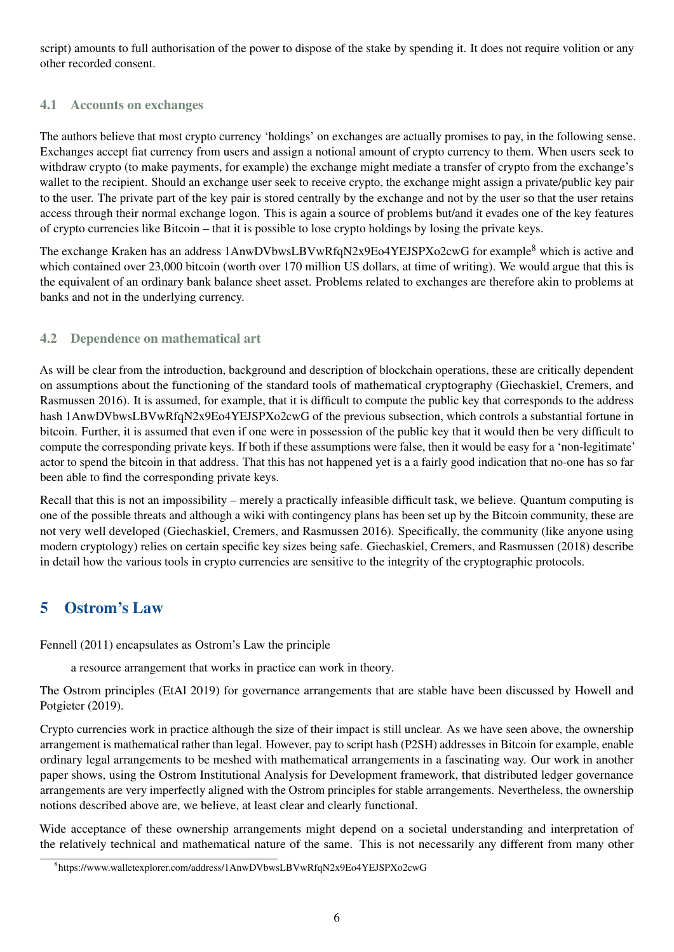script) amounts to full authorisation of the power to dispose of the stake by spending it. It does not require volition or any other recorded consent.

#### 4.1 Accounts on exchanges

The authors believe that most crypto currency 'holdings' on exchanges are actually promises to pay, in the following sense. Exchanges accept fiat currency from users and assign a notional amount of crypto currency to them. When users seek to withdraw crypto (to make payments, for example) the exchange might mediate a transfer of crypto from the exchange's wallet to the recipient. Should an exchange user seek to receive crypto, the exchange might assign a private/public key pair to the user. The private part of the key pair is stored centrally by the exchange and not by the user so that the user retains access through their normal exchange logon. This is again a source of problems but/and it evades one of the key features of crypto currencies like Bitcoin – that it is possible to lose crypto holdings by losing the private keys.

The exchange Kraken has an address 1AnwDVbwsLBVwRfqN2x9Eo4YEJSPXo2cwG for example<sup>[8](#page-5-0)</sup> which is active and which contained over 23,000 bitcoin (worth over 170 million US dollars, at time of writing). We would argue that this is the equivalent of an ordinary bank balance sheet asset. Problems related to exchanges are therefore akin to problems at banks and not in the underlying currency.

#### 4.2 Dependence on mathematical art

As will be clear from the introduction, background and description of blockchain operations, these are critically dependent on assumptions about the functioning of the standard tools of mathematical cryptography (Giechaskiel, Cremers, and Rasmussen 2016). It is assumed, for example, that it is difficult to compute the public key that corresponds to the address hash 1AnwDVbwsLBVwRfqN2x9Eo4YEJSPXo2cwG of the previous subsection, which controls a substantial fortune in bitcoin. Further, it is assumed that even if one were in possession of the public key that it would then be very difficult to compute the corresponding private keys. If both if these assumptions were false, then it would be easy for a 'non-legitimate' actor to spend the bitcoin in that address. That this has not happened yet is a a fairly good indication that no-one has so far been able to find the corresponding private keys.

Recall that this is not an impossibility – merely a practically infeasible difficult task, we believe. Quantum computing is one of the possible threats and although a wiki with contingency plans has been set up by the Bitcoin community, these are not very well developed (Giechaskiel, Cremers, and Rasmussen 2016). Specifically, the community (like anyone using modern cryptology) relies on certain specific key sizes being safe. Giechaskiel, Cremers, and Rasmussen (2018) describe in detail how the various tools in crypto currencies are sensitive to the integrity of the cryptographic protocols.

## 5 Ostrom's Law

Fennell (2011) encapsulates as Ostrom's Law the principle

a resource arrangement that works in practice can work in theory.

The Ostrom principles (EtAl 2019) for governance arrangements that are stable have been discussed by Howell and Potgieter (2019).

Crypto currencies work in practice although the size of their impact is still unclear. As we have seen above, the ownership arrangement is mathematical rather than legal. However, pay to script hash (P2SH) addresses in Bitcoin for example, enable ordinary legal arrangements to be meshed with mathematical arrangements in a fascinating way. Our work in another paper shows, using the Ostrom Institutional Analysis for Development framework, that distributed ledger governance arrangements are very imperfectly aligned with the Ostrom principles for stable arrangements. Nevertheless, the ownership notions described above are, we believe, at least clear and clearly functional.

Wide acceptance of these ownership arrangements might depend on a societal understanding and interpretation of the relatively technical and mathematical nature of the same. This is not necessarily any different from many other

<span id="page-5-0"></span> $^8$ <https://www.walletexplorer.com/address/1AnwDVbwsLBVwRfqN2x9Eo4YEJSPXo2cwG>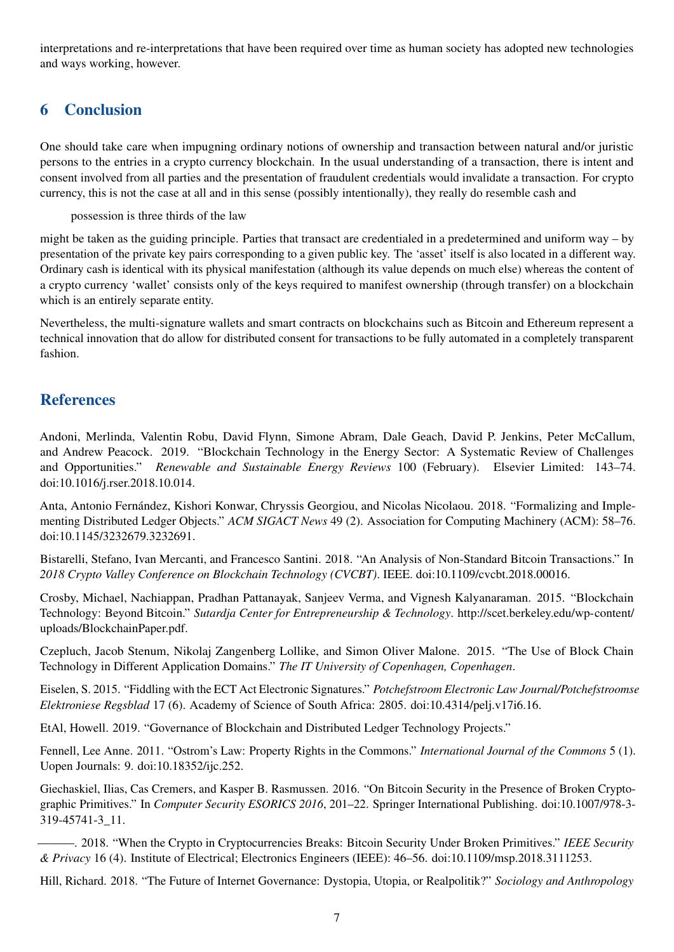interpretations and re-interpretations that have been required over time as human society has adopted new technologies and ways working, however.

## 6 Conclusion

One should take care when impugning ordinary notions of ownership and transaction between natural and/or juristic persons to the entries in a crypto currency blockchain. In the usual understanding of a transaction, there is intent and consent involved from all parties and the presentation of fraudulent credentials would invalidate a transaction. For crypto currency, this is not the case at all and in this sense (possibly intentionally), they really do resemble cash and

possession is three thirds of the law

might be taken as the guiding principle. Parties that transact are credentialed in a predetermined and uniform way – by presentation of the private key pairs corresponding to a given public key. The 'asset' itself is also located in a different way. Ordinary cash is identical with its physical manifestation (although its value depends on much else) whereas the content of a crypto currency 'wallet' consists only of the keys required to manifest ownership (through transfer) on a blockchain which is an entirely separate entity.

Nevertheless, the multi-signature wallets and smart contracts on blockchains such as Bitcoin and Ethereum represent a technical innovation that do allow for distributed consent for transactions to be fully automated in a completely transparent fashion.

## References

Andoni, Merlinda, Valentin Robu, David Flynn, Simone Abram, Dale Geach, David P. Jenkins, Peter McCallum, and Andrew Peacock. 2019. "Blockchain Technology in the Energy Sector: A Systematic Review of Challenges and Opportunities." *Renewable and Sustainable Energy Reviews* 100 (February). Elsevier Limited: 143–74. doi[:10.1016/j.rser.2018.10.014.](https://doi.org/10.1016/j.rser.2018.10.014)

Anta, Antonio Fernández, Kishori Konwar, Chryssis Georgiou, and Nicolas Nicolaou. 2018. "Formalizing and Implementing Distributed Ledger Objects." *ACM SIGACT News* 49 (2). Association for Computing Machinery (ACM): 58–76. doi[:10.1145/3232679.3232691.](https://doi.org/10.1145/3232679.3232691)

Bistarelli, Stefano, Ivan Mercanti, and Francesco Santini. 2018. "An Analysis of Non-Standard Bitcoin Transactions." In *2018 Crypto Valley Conference on Blockchain Technology (CVCBT)*. IEEE. doi[:10.1109/cvcbt.2018.00016.](https://doi.org/10.1109/cvcbt.2018.00016)

Crosby, Michael, Nachiappan, Pradhan Pattanayak, Sanjeev Verma, and Vignesh Kalyanaraman. 2015. "Blockchain Technology: Beyond Bitcoin." *Sutardja Center for Entrepreneurship & Technology*. [http://scet.berkeley.edu/wp-content/](http://scet.berkeley.edu/wp-content/uploads/BlockchainPaper.pdf) [uploads/BlockchainPaper.pdf.](http://scet.berkeley.edu/wp-content/uploads/BlockchainPaper.pdf)

Czepluch, Jacob Stenum, Nikolaj Zangenberg Lollike, and Simon Oliver Malone. 2015. "The Use of Block Chain Technology in Different Application Domains." *The IT University of Copenhagen, Copenhagen*.

Eiselen, S. 2015. "Fiddling with the ECT Act Electronic Signatures." *Potchefstroom Electronic Law Journal/Potchefstroomse Elektroniese Regsblad* 17 (6). Academy of Science of South Africa: 2805. doi[:10.4314/pelj.v17i6.16.](https://doi.org/10.4314/pelj.v17i6.16)

EtAl, Howell. 2019. "Governance of Blockchain and Distributed Ledger Technology Projects."

Fennell, Lee Anne. 2011. "Ostrom's Law: Property Rights in the Commons." *International Journal of the Commons* 5 (1). Uopen Journals: 9. doi[:10.18352/ijc.252.](https://doi.org/10.18352/ijc.252)

Giechaskiel, Ilias, Cas Cremers, and Kasper B. Rasmussen. 2016. "On Bitcoin Security in the Presence of Broken Cryptographic Primitives." In *Computer Security ESORICS 2016*, 201–22. Springer International Publishing. doi[:10.1007/978-3-](https://doi.org/10.1007/978-3-319-45741-3_11) [319-45741-3\\_11.](https://doi.org/10.1007/978-3-319-45741-3_11)

———. 2018. "When the Crypto in Cryptocurrencies Breaks: Bitcoin Security Under Broken Primitives." *IEEE Security & Privacy* 16 (4). Institute of Electrical; Electronics Engineers (IEEE): 46–56. doi[:10.1109/msp.2018.3111253.](https://doi.org/10.1109/msp.2018.3111253)

Hill, Richard. 2018. "The Future of Internet Governance: Dystopia, Utopia, or Realpolitik?" *Sociology and Anthropology*